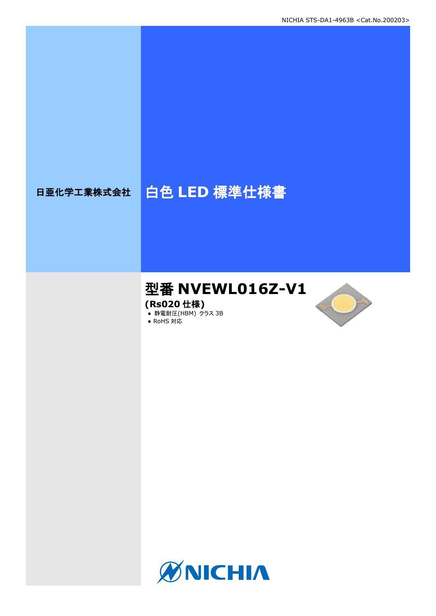# 日亜化学工業株式会社 | 白色 LED 標準仕様書

# 型番 **NVEWL016Z-V1**

**(Rs020** 仕様**)**

**● 静電耐圧(HBM) クラス 3B** 





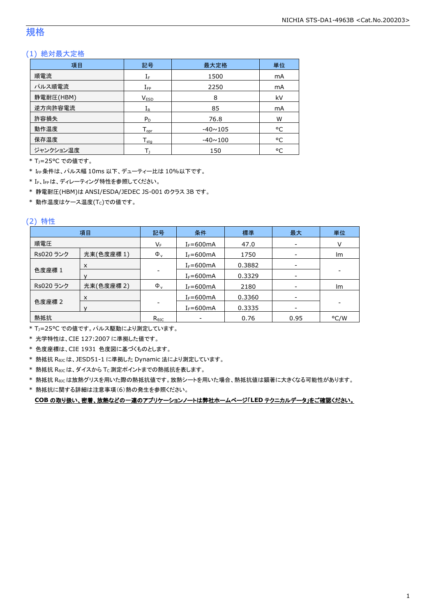## 規格

#### (1) 絶対最大定格

| 項目        | 記号                           | 最大定格           | 単位 |
|-----------|------------------------------|----------------|----|
| 順電流       | ${\rm I}_{{\rm F}}$          | 1500           | mA |
| パルス順電流    | $I_{\text{FP}}$              | 2250           | mA |
| 静電耐圧(HBM) | <b>VESD</b>                  | 8              | kV |
| 逆方向許容電流   | $I_{R}$                      | 85             | mA |
| 許容損失      | $P_D$                        | 76.8           | W  |
| 動作温度      | ${\mathsf T}_{\textsf{opr}}$ | $-40 \sim 105$ | °C |
| 保存温度      | ${\mathsf T}_{\textsf{stg}}$ | $-40 \sim 100$ | °C |
| ジャンクション温度 |                              | 150            | ۰c |

\* TJ=25°C での値です。

\* IFP条件は、パルス幅 10ms 以下、デューティー比は 10%以下です。

\* IF、IFPは、ディレーティング特性を参照してください。

\* 静電耐圧(HBM)は ANSI/ESDA/JEDEC JS-001 のクラス 3B です。

 $*$ 動作温度はケース温度(Tc)での値です。

#### (2) 特性

|           | 項目         | 記号             | 条件             | 標準     | 最大                       | 単位                       |
|-----------|------------|----------------|----------------|--------|--------------------------|--------------------------|
| 順電圧       |            | VF             | $I_F = 600$ mA | 47.0   | $\overline{\phantom{a}}$ | v                        |
| Rs020 ランク | 光束(色度座標1)  | $\Phi_{\rm v}$ | $I_F = 600$ mA | 1750   |                          | Im                       |
|           | X          |                | $I_F = 600$ mA | 0.3882 | -                        |                          |
| 色度座標 1    |            |                | $I_F = 600mA$  | 0.3329 | -                        | $\overline{\phantom{a}}$ |
| Rs020 ランク | 光束(色度座標 2) | $\Phi_{\rm v}$ | $I_F = 600$ mA | 2180   | $\overline{\phantom{a}}$ | Im                       |
|           | X          |                | $I_F = 600mA$  | 0.3360 | $\overline{\phantom{a}}$ |                          |
| 色度座標 2    |            | $I_F = 600$ mA | 0.3335         |        |                          |                          |
| 熱抵抗       |            | $R_{\theta$ JC |                | 0.76   | 0.95                     | °C/W                     |

\* TJ=25°C での値です。パルス駆動により測定しています。

\* 光学特性は、CIE 127:2007 に準拠した値です。

\* 色度座標は、CIE 1931 色度図に基づくものとします。

\* 熱抵抗 RθJCは、JESD51-1 に準拠した Dynamic 法により測定しています。

 $*$  熱抵抗  $R_{\theta JC}$ は、ダイスから Tc 測定ポイントまでの熱抵抗を表します。

\* 熱抵抗 RθJCは放熱グリスを用いた際の熱抵抗値です。放熱シートを用いた場合、熱抵抗値は顕著に大きくなる可能性があります。

\* 熱抵抗に関する詳細は注意事項(6)熱の発生を参照ください。

**COB** の取り扱い、密着、放熱などの一連のアプリケーションノートは弊社ホームページ「**LED** テクニカルデータ」をご確認ください。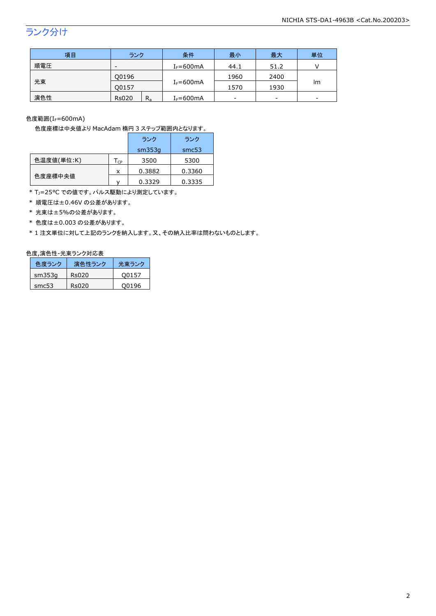# ランク分け

| 項目  | ランク                     | 条件            | 最小   | 最大   | 単位 |  |
|-----|-------------------------|---------------|------|------|----|--|
| 順電圧 | -                       | $I_F = 600mA$ | 44.1 | 51.2 |    |  |
|     | Q0196                   |               | 1960 | 2400 |    |  |
| 光束  | 00157                   | $I_F = 600mA$ | 1570 | 1930 | Im |  |
| 演色性 | $R_{a}$<br><b>Rs020</b> | $I_F = 600mA$ | -    | -    | -  |  |

色度範囲 $(I_f=600$ mA)

色度座標は中央値より MacAdam 楕円 3 ステップ範囲内となります。

|            |                            | ランク    | ランク    |
|------------|----------------------------|--------|--------|
|            |                            | sm353q | smc53  |
| 色温度値(単位:K) | $\mathsf{T}_{\mathsf{CP}}$ | 3500   | 5300   |
|            | x                          | 0.3882 | 0.3360 |
| 色度座標中央値    |                            | 0.3329 | 0.3335 |

\* T<sub>J</sub>=25°C での値です。パルス駆動により測定しています。

\* 順電圧は±0.46V の公差があります。

\* 光束は±5%の公差があります。

\* 色度は±0.003 の公差があります。

\* 1 注文単位に対して上記のランクを納入します。又、その納入比率は問わないものとします。

#### 色度,演色性-光束ランク対応表

| 色度ランク  | 演色性ランク | 光東ランク |
|--------|--------|-------|
| sm353q | Rs020  | O0157 |
| smc53  | Rs020  | O0196 |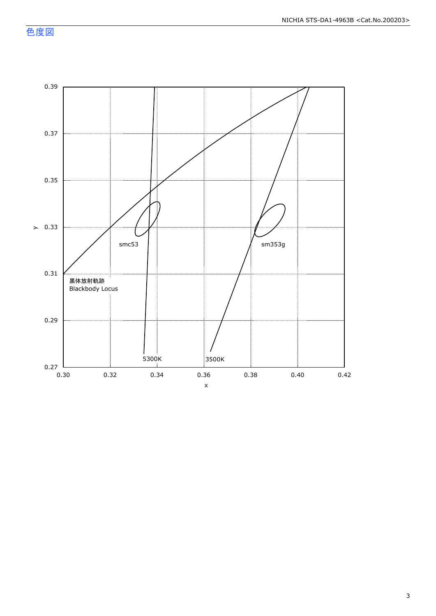色度図

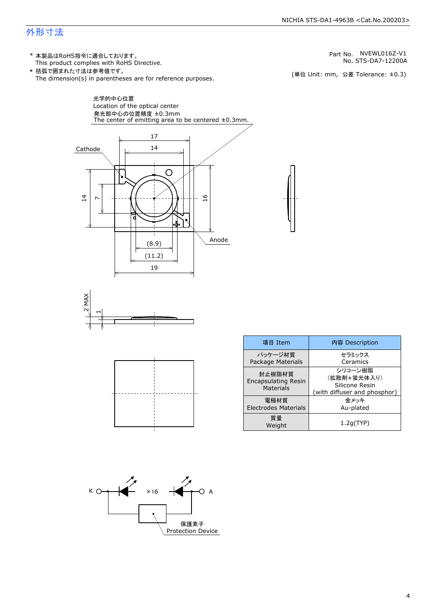#### NICHIA STS-DA1-4963B <Cat.No.200203>

### 外形寸法

(単位 Unit: mm) This product complies with RoHS Directive. \* 本製品はRoHS指令に適合しております。 (単位 Unit: mm, 公差 Tolerance: ±0.3) STS-DA7-12200A NVEWL016Z-V1 The dimension(s) in parentheses are for reference purposes. \* 括弧で囲まれた寸法は参考値です。 No. Part No.







| 項目 Item                                           | 内容 Description                                                           |
|---------------------------------------------------|--------------------------------------------------------------------------|
| パッケージ材質<br>Package Materials                      | セラミックス<br>Ceramics                                                       |
| 封止樹脂材質<br><b>Encapsulating Resin</b><br>Materials | シリコーン樹脂<br>(拡散剤+蛍光体入り)<br>Silicone Resin<br>(with diffuser and phosphor) |
| 雷極材質<br><b>Electrodes Materials</b>               | 金メッキ<br>Au-plated                                                        |
| 質量<br>Weight                                      | 1.2q(TYP)                                                                |



| パッケージ材質                                           | セラミックス                                                                   |
|---------------------------------------------------|--------------------------------------------------------------------------|
| Package Materials                                 | Ceramics                                                                 |
| 封止樹脂材質<br><b>Encapsulating Resin</b><br>Materials | シリコーン樹脂<br>(拡散剤+蛍光体入り)<br>Silicone Resin<br>(with diffuser and phosphor) |
| 雷極材質<br><b>Electrodes Materials</b>               | 金メッキ<br>Au-plated                                                        |
| 質量<br>Weight                                      | 1.2q(TYP)                                                                |
|                                                   |                                                                          |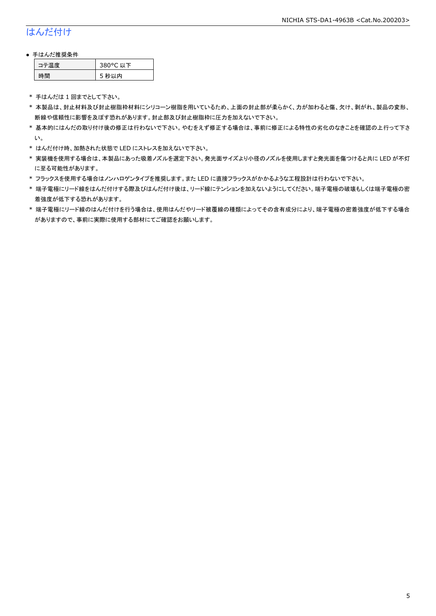# はんだ付け

#### ● 手はんだ推奨条件

| →"烏庫」 | 380°C 以下 |
|-------|----------|
| .間    | 5 秒以内    |

\* 手はんだは 1 回までとして下さい。

- \* 本製品は、封止材料及び封止樹脂枠材料にシリコーン樹脂を用いているため、上面の封止部が柔らかく、力が加わると傷、欠け、剥がれ、製品の変形、 断線や信頼性に影響を及ぼす恐れがあります。封止部及び封止樹脂枠に圧力を加えないで下さい。
- \* 基本的にはんだの取り付け後の修正は行わないで下さい。やむをえず修正する場合は、事前に修正による特性の劣化のなきことを確認の上行って下さ い。
- \* はんだ付け時、加熱された状態で LED にストレスを加えないで下さい。
- \* 実装機を使用する場合は、本製品にあった吸着ノズルを選定下さい。発光面サイズより小径のノズルを使用しますと発光面を傷つけると共に LED が不灯 に至る可能性があります。
- \* フラックスを使用する場合はノンハロゲンタイプを推奨します。また LED に直接フラックスがかかるような工程設計は行わないで下さい。
- \* 端子電極にリード線をはんだ付けする際及びはんだ付け後は、リード線にテンションを加えないようにしてください。端子電極の破壊もしくは端子電極の密 着強度が低下する恐れがあります。
- \* 端子電極にリード線のはんだ付けを行う場合は、使用はんだやリード被覆線の種類によってその含有成分により、端子電極の密着強度が低下する場合 がありますので、事前に実際に使用する部材にてご確認をお願いします。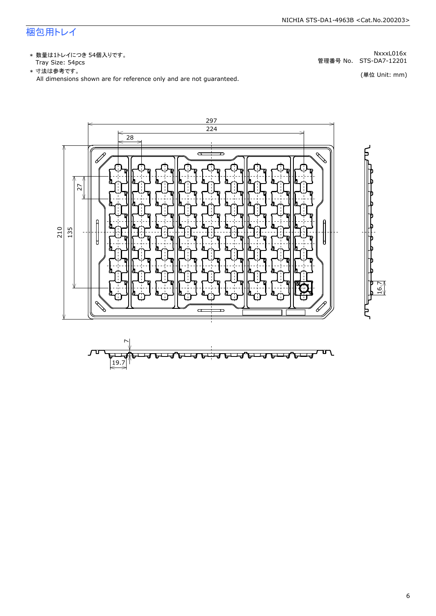# 梱包用トレイ

\* 数量は1トレイにつき 54個入りです。<br>Tray Size: 54pcs

\* 数量は1トレイにつき 54個入りです。<br>Tray Size: 54pcs<br>\* 寸法は参考です。<br>All dimensions shown are for reference only and are not guaranteed. \* づ法は参考です。



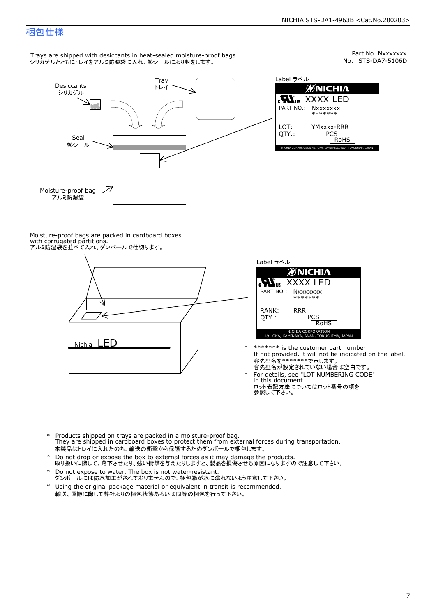Part No. Nxxxxxxx<br>No. STS-DA7-5106D

### 梱包仕様

Trays are shipped with desiccants in heat-sealed moisture-proof bags. シリカゲルとともにトレイをアルミ防湿袋に入れ、熱シールにより封をします。



Label ラベル  $\mathscr{U}$ NICHIA  $\begin{array}{lll} \text{cN}_{\text{us}} & \text{XXXX} & \text{LED} \\ \text{part no.:} & \text{Nxxxxxxx} \\ \text{LOT:} & \text{YMxxxx-RRR} \\ \text{QTY.:} & & \text{PCS} \\ \hline & \text{ROHS} \end{array}$ NICHIA CORPORATION <sup>491</sup> OKA, KAMINAKA, ANAN, TOKUSHIMA, JAPAN LOT: QTY.: YMxxxx-RRR PCS PART NO.:

Moisture-proof bags are packed in cardboard boxes with corrugated partitions. アルミ防湿袋を並べて入れ、ダンボールで仕切ります。





- \* \*\*\*\*\*\*\* is the customer part number.<br>If not provided, it will not be indicated on the label.<br>客先型名が設定されていない場合は空白です。
- For details, see "LOT NUMBERING CODE"<br>in this document.<br>ロット表記方法についてはロット番号の項を<br>参照して下さい。
- \* Products shipped on trays are packed in a moisture-proof bag.<br>They are shipped in cardboard boxes to protect them from external forces during transportation.<br>本製品はトレイに入れたのち、輸送の衝撃から保護するためダンボールで梱包します。<br>\* Do not drop or exp 本製品はトレイに入れたのち、輸送の衝撃から保護するためダンボールで梱包します。
- Do not drop or expose the box to external forces as it may damage the products. \*
- 取り扱いに際して、落下させたり、強い衝撃を与えたりしますと、製品を損傷させる原因になりますので注意して下さい。 Do not expose to water. The box is not water-resistant. \*
- ダンボールには防水加工がされておりませんので、梱包箱が水に濡れないよう注意して下さい。 \*
- 輸送、運搬に際して弊社よりの梱包状態あるいは同等の梱包を行って下さい。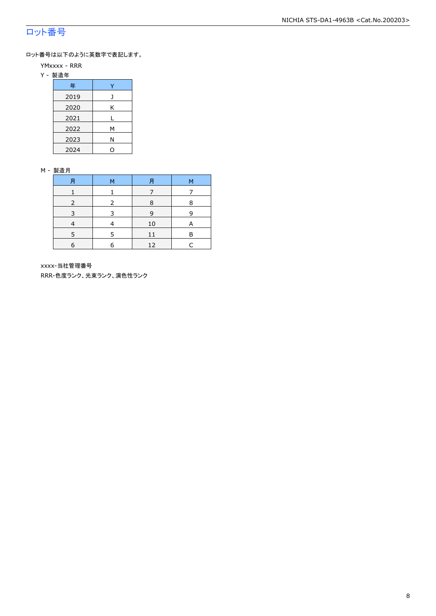# ロット番号

ロット番号は以下のように英数字で表記します。

- YMxxxx RRR
- Y 製造年

| 年    |   |  |  |
|------|---|--|--|
| 2019 |   |  |  |
| 2020 | Κ |  |  |
| 2021 |   |  |  |
| 2022 | м |  |  |
| 2023 | Ν |  |  |
| 2024 |   |  |  |

#### M - 製造月

| 月 | м | 月  | м |
|---|---|----|---|
|   |   |    |   |
|   |   | 8  | 8 |
| ∍ |   | 9  | q |
|   |   | 10 | A |
|   |   |    | P |
| 6 |   | 12 |   |

xxxx-当社管理番号

RRR-色度ランク、光束ランク、演色性ランク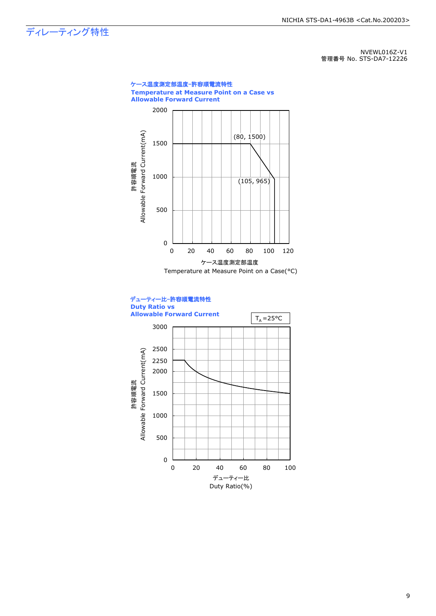ディレーティング特性

NVEWL016Z-V1 管理番号 No. STS-DA7-12226



9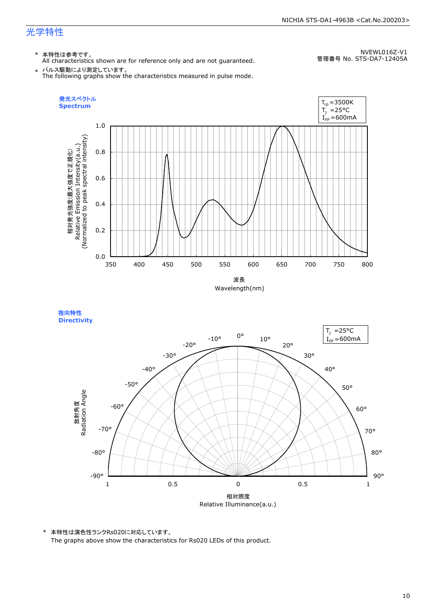#### NICHIA STS-DA1-4963B <Cat.No.200203>

# 光学特性

#### \* 本特性は参考です。

All characteristics shown are for reference only and are not guaranteed.

NVEWL016Z-V1 管理番号 No. STS-DA7-12405A

 $\;\ast\;$  パルス駆動により測定しています。<br>The following graphs show the characteristics measured in pulse mode.



指向特性 **Directivity** 



\* 本特性は演色性ランクRs020に対応しています。 The graphs above show the characteristics for Rs020 LEDs of this product.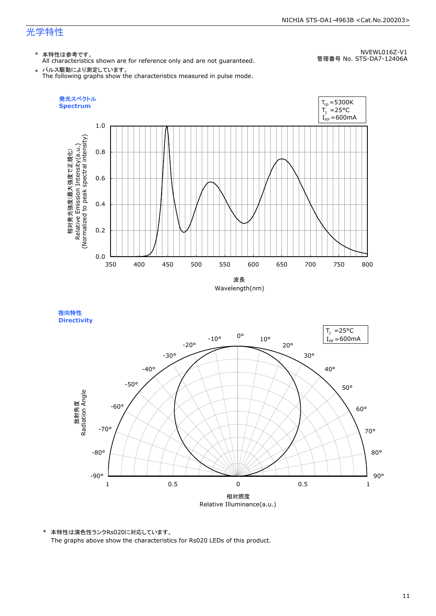# 光学特性

### \* 本特性は参考です。

All characteristics shown are for reference only and are not guaranteed.

NVEWL016Z-V1 管理番号 No. STS-DA7-12406A

 $\;\ast\;$  パルス駆動により測定しています。<br>The following graphs show the characteristics measured in pulse mode.



指向特性 **Directivity** 



\* 本特性は演色性ランクRs020に対応しています。 The graphs above show the characteristics for Rs020 LEDs of this product.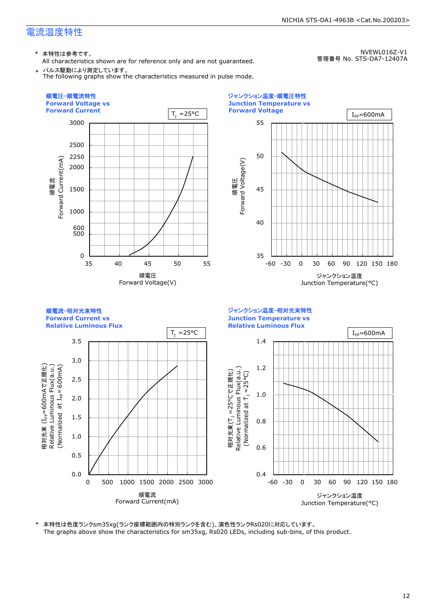\* 本特性は参考です。

All characteristics shown are for reference only and are not guaranteed. \* パルス駆動により測定しています。

The following graphs show the characteristics measured in pulse mode.

NVEWL016Z-V1 管理番号 No. STS-DA7-12407A

NICHIA STS-DA1-4963B <Cat.No.200203>



\* 本特性は色度ランクsm35xg(ランク座標範囲内の特別ランクを含む)、演色性ランクRs020に対応しています。 The graphs above show the characteristics for sm35xg, Rs020 LEDs, including sub-bins, of this product.

#### 12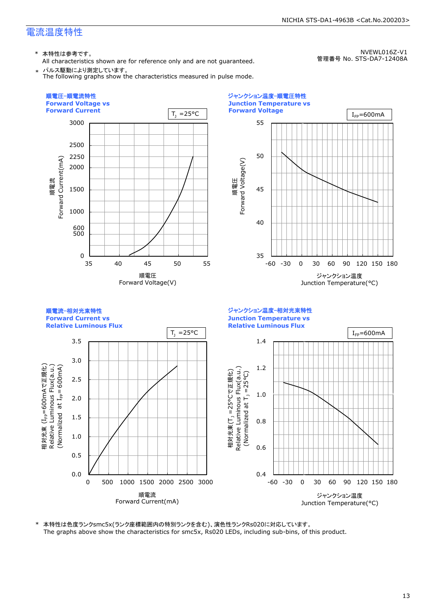\* 本特性は参考です。

All characteristics shown are for reference only and are not guaranteed. \* パルス駆動により測定しています。

The following graphs show the characteristics measured in pulse mode.

NVEWL016Z-V1 管理番号 No. STS-DA7-12408A

NICHIA STS-DA1-4963B <Cat.No.200203>



\* 本特性は色度ランクsmc5x(ランク座標範囲内の特別ランクを含む)、演色性ランクRs020に対応しています。 The graphs above show the characteristics for smc5x, Rs020 LEDs, including sub-bins, of this product.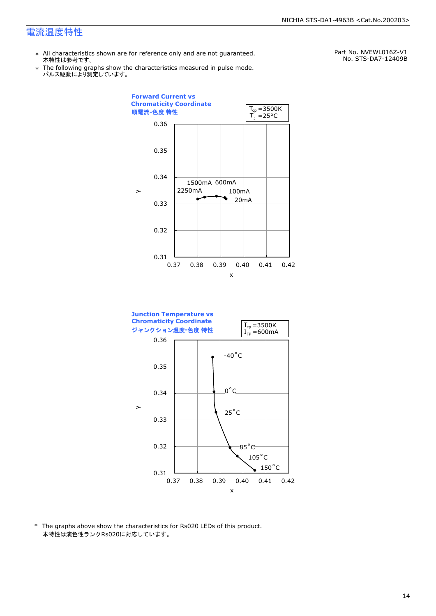- \* All characteristics shown are for reference only and are not guaranteed. 本特性は参考です。
- \* Ine following graphs show th<br>、パルス駆動により測定しています。 The following graphs show the characteristics measured in pulse mode.

Part No. NVEWL016Z-V1 No. STS-DA7-12409B





\* The graphs above show the characteristics for Rs020 LEDs of this product. 本特性は演色性ランクRs020に対応しています。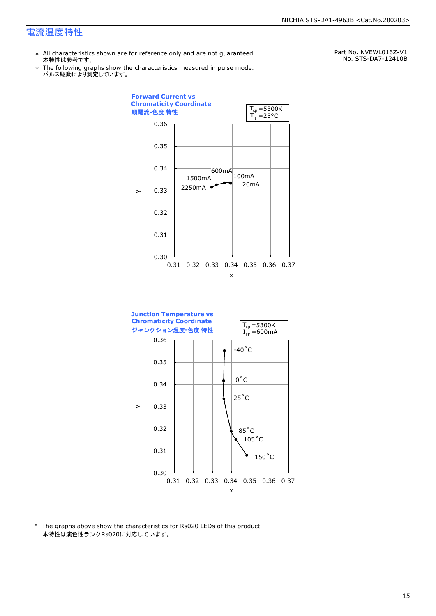- \* All characteristics shown are for reference only and are not guaranteed. 本特性は参考です。
- \* Ine following graphs show th<br>、パルス駆動により測定しています。 The following graphs show the characteristics measured in pulse mode.

Part No. NVEWL016Z-V1 No. STS-DA7-12410B





\* The graphs above show the characteristics for Rs020 LEDs of this product. 本特性は演色性ランクRs020に対応しています。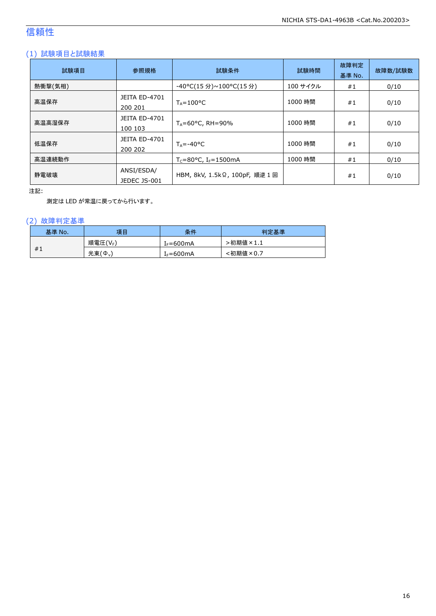# 信頼性

#### (1) 試験項目と試験結果

| 試験項目    | 参照規格                            | 試験条件                                    | 試験時間     | 故障判定<br>基準 No. | 故障数/試験数 |
|---------|---------------------------------|-----------------------------------------|----------|----------------|---------|
| 熱衝撃(気相) |                                 | -40°C(15 分)~100°C(15 分)                 | 100 サイクル | #1             | 0/10    |
| 高温保存    | <b>JEITA ED-4701</b><br>200 201 | $T_A = 100^{\circ}C$                    | 1000 時間  | #1             | 0/10    |
| 高温高湿保存  | <b>JEITA ED-4701</b><br>100 103 | $T_A = 60^{\circ}$ C, RH = 90%          | 1000 時間  | #1             | 0/10    |
| 低温保存    | JEITA ED-4701<br>200 202        | $T_{\text{A}} = -40^{\circ}C$           | 1000 時間  | #1             | 0/10    |
| 高温連続動作  |                                 | $T_c = 80$ °C, I <sub>F</sub> = 1500 mA | 1000 時間  | #1             | 0/10    |
| 静電破壊    | ANSI/ESDA/<br>JEDEC JS-001      | HBM, 8kV, 1.5kΩ, 100pF, 順逆 1回           |          | #1             | 0/10    |

注記:

測定は LED が常温に戻ってから行います。

#### (2) 故障判定基準

| 基準 No. | 項目      | 条件                   | 判定基準     |
|--------|---------|----------------------|----------|
|        | 順電圧(VF) | <sup>լ</sup> ⊧=600mA | ·初期値×1.1 |
| #1     | 光束(Φ.)  | $I_F = 600mA$        | :初期値×0.7 |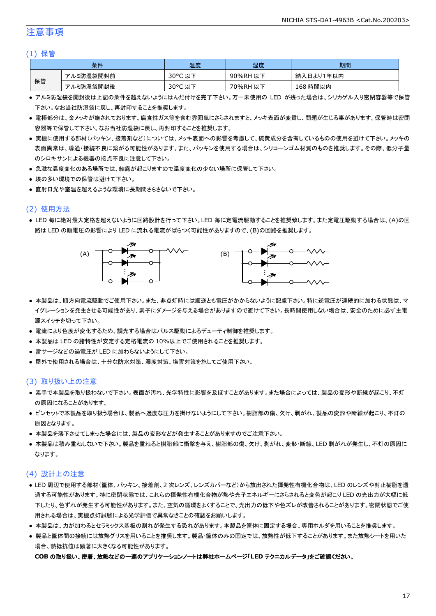#### 注意事項

#### (1) 保管

| 条件 |           | 温度         | 湿度       | 期間        |
|----|-----------|------------|----------|-----------|
| 保管 | アルミ防湿袋開封前 | 30°C<br>以下 | 90%RH 以下 | 納入日より1年以内 |
|    | アルミ防湿袋開封後 | 30°C 以下    | 70%RH 以下 | 168 時間以内  |

- アルミ防湿袋を開封後は上記の条件を越えないようにはんだ付けを完了下さい。万一未使用の LED が残った場合は、シリカゲル入り密閉容器等で保管 下さい。なお当社防湿袋に戻し、再封印することを推奨します。
- 電極部分は、金メッキが施されております。腐食性ガス等を含む雰囲気にさらされますと、メッキ表面が変質し、問題が生じる事があります。保管時は密閉 容器等で保管して下さい。なお当社防湿袋に戻し、再封印することを推奨します。
- 実機に使用する部材(パッキン、接着剤など)については、メッキ表面への影響を考慮して、硫黄成分を含有しているものの使用を避けて下さい。メッキの 表面異常は、導通・接続不良に繋がる可能性があります。また、パッキンを使用する場合は、シリコーンゴム材質のものを推奨します。その際、低分子量 のシロキサンによる機器の接点不良に注意して下さい。
- 急激な温度変化のある場所では、結露が起こりますので温度変化の少ない場所に保管して下さい。
- 埃の多い環境での保管は避けて下さい。
- 直射日光や室温を超えるような環境に長期間さらさないで下さい。

#### (2) 使用方法

● LED 毎に絶対最大定格を超えないように回路設計を行って下さい。LED 毎に定電流駆動することを推奨致します。また定電圧駆動する場合は、(A)の回 路は LED の順電圧の影響により LED に流れる電流がばらつく可能性がありますので、(B)の回路を推奨します。



- 本製品は、順方向電流駆動でご使用下さい。また、非点灯時には順逆とも電圧がかからないように配慮下さい。特に逆電圧が連続的に加わる状態は、マ イグレーションを発生させる可能性があり、素子にダメージを与える場合がありますので避けて下さい。長時間使用しない場合は、安全のために必ず主電 源スイッチを切って下さい。
- 電流により色度が変化するため、調光する場合はパルス駆動によるデューティ制御を推奨します。
- 本製品は LED の諸特性が安定する定格電流の 10%以上でご使用されることを推奨します。
- 雷サージなどの過電圧が LED に加わらないようにして下さい。
- 屋外で使用される場合は、十分な防水対策、湿度対策、塩害対策を施してご使用下さい。

#### (3) 取り扱い上の注意

- 素手で本製品を取り扱わないで下さい。表面が汚れ、光学特性に影響を及ぼすことがあります。また場合によっては、製品の変形や断線が起こり、不灯 の原因になることがあります。
- ピンセットで本製品を取り扱う場合は、製品へ過度な圧力を掛けないようにして下さい。樹脂部の傷、欠け、剥がれ、製品の変形や断線が起こり、不灯の 原因となります。
- 本製品を落下させてしまった場合には、製品の変形などが発生することがありますのでご注意下さい。
- 本製品は積み重ねしないで下さい。製品を重ねると樹脂部に衝撃を与え、樹脂部の傷、欠け、剥がれ、変形・断線、LED 剥がれが発生し、不灯の原因に なります。

#### (4) 設計上の注意

- LED 周辺で使用する部材(筐体、パッキン、接着剤、2 次レンズ、レンズカバーなど)から放出された揮発性有機化合物は、LED のレンズや封止樹脂を透 過する可能性があります。特に密閉状態では、これらの揮発性有機化合物が熱や光子エネルギーにさらされると変色が起こり LED の光出力が大幅に低 下したり、色ずれが発生する可能性があります。また、空気の循環をよくすることで、光出力の低下や色ズレが改善されることがあります。密閉状態でご使 用される場合は、実機点灯試験による光学評価で異常なきことの確認をお願いします。
- 本製品は、カが加わるとセラミックス基板の割れが発生する恐れがあります。本製品を筐体に固定する場合、専用ホルダを用いることを推奨します。
- 製品と筐体間の接続には放熱グリスを用いることを推奨します。製品・筐体のみの固定では、放熱性が低下することがあります。また放熱シートを用いた 場合、熱抵抗値は顕著に大きくなる可能性があります。

#### **COB** の取り扱い、密着、放熱などの一連のアプリケーションノートは弊社ホームページ「**LED** テクニカルデータ」をご確認ください。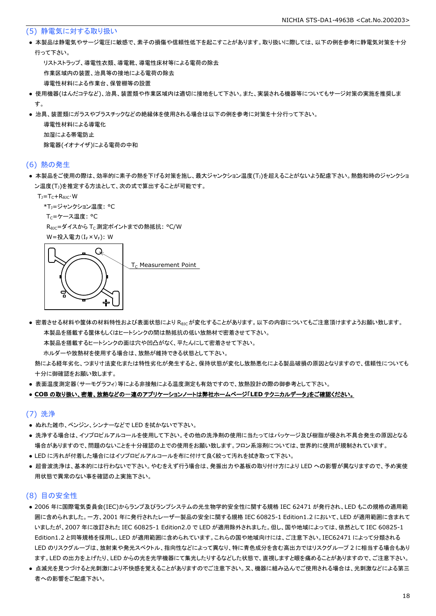#### (5) 静電気に対する取り扱い

● 本製品は静電気やサージ電圧に敏感で、素子の損傷や信頼性低下を起こすことがあります。取り扱いに際しては、以下の例を参考に静電気対策を十分 行って下さい。

 リストストラップ、導電性衣類、導電靴、導電性床材等による電荷の除去 作業区域内の装置、治具等の接地による電荷の除去 導電性材料による作業台、保管棚等の設置

- 使用機器(はんだコテなど)、治具、装置類や作業区域内は適切に接地をして下さい。また、実装される機器等についてもサージ対策の実施を推奨しま す。
- 治具、装置類にガラスやプラスチックなどの絶縁体を使用される場合は以下の例を参考に対策を十分行って下さい。

 導電性材料による導電化 加湿による帯電防止 除電器(イオナイザ)による電荷の中和

#### (6) 熱の発生

● 本製品をご使用の際は、効率的に素子の熱を下げる対策を施し、最大ジャンクション温度(T」)を超えることがないよう配慮下さい。熱飽和時のジャンクショ ン温度(T」)を推定する方法として、次の式で算出することが可能です。

 $T_J = T_C + R_{\theta JC} \cdot W$ 

```
*T<sub>1</sub>=ジャンクション温度: °C
```
Tc=ケース温度: °C

R<sub>0JC</sub>=ダイスから T<sub>C</sub> 測定ポイントまでの熱抵抗: °C/W

W=投入電力(I<sub>F</sub>×V<sub>F</sub>): W



● 密着させる材料や筐体の材料特性および表面状態により Reicが変化することがあります。以下の内容についてもご注意頂けますようお願い致します。 本製品を搭載する筐体もしくはヒートシンクの間は熱抵抗の低い放熱材で密着させて下さい。

本製品を搭載するヒートシンクの面は穴や凹凸がなく、平たんにして密着させて下さい。

ホルダーや放熱材を使用する場合は、放熱が維持できる状態として下さい。

 熱による経年劣化、つまり寸法変化または特性劣化が発生すると、保持状態が変化し放熱悪化による製品破損の原因となりますので、信頼性についても 十分に御確認をお願い致します。

● 表面温度測定器(サーモグラフィ)等による非接触による温度測定も有効ですので、放熱設計の際の御参考として下さい。

#### ● **COB** の取り扱い、密着、放熱などの一連のアプリケーションノートは弊社ホームページ「**LED** テクニカルデータ」をご確認ください。

#### (7) 洗浄

- ぬれた雑巾、ベンジン、シンナーなどで LED を拭かないで下さい。
- 洗浄する場合は、イソプロピルアルコールを使用して下さい。その他の洗浄剤の使用に当たってはパッケージ及び樹脂が侵され不具合発生の原因となる 場合がありますので、問題のないことを十分確認の上での使用をお願い致します。フロン系溶剤については、世界的に使用が規制されています。
- LED に汚れが付着した場合にはイソプロピルアルコールを布に付けて良く絞って汚れを拭き取って下さい。
- 超音波洗浄は、基本的には行わないで下さい。やむをえず行う場合は、発振出力や基板の取り付け方により LED への影響が異なりますので、予め実使 用状態で異常のない事を確認の上実施下さい。

#### (8) 目の安全性

- 2006 年に国際電気委員会(IEC)からランプ及びランプシステムの光生物学的安全性に関する規格 IEC 62471 が発行され、LED もこの規格の適用範 囲に含められました。一方、2001 年に発行されたレーザー製品の安全に関する規格 IEC 60825-1 Edition1.2 において、LED が適用範囲に含まれて いましたが、2007 年に改訂された IEC 60825-1 Edition2.0 で LED が適用除外されました。但し、国や地域によっては、依然として IEC 60825-1 Edition1.2 と同等規格を採用し、LED が適用範囲に含められています。これらの国や地域向けには、ご注意下さい。IEC62471 によって分類される LED のリスクグループは、放射束や発光スペクトル、指向性などによって異なり、特に青色成分を含む高出力ではリスクグループ 2 に相当する場合もあり ます。LED の出力を上げたり、LED からの光を光学機器にて集光したりするなどした状態で、直視しますと眼を痛めることがありますので、ご注意下さい。
- 点滅光を見つづけると光刺激により不快感を覚えることがありますのでご注意下さい。又、機器に組み込んでご使用される場合は、光刺激などによる第三 者への影響をご配慮下さい。